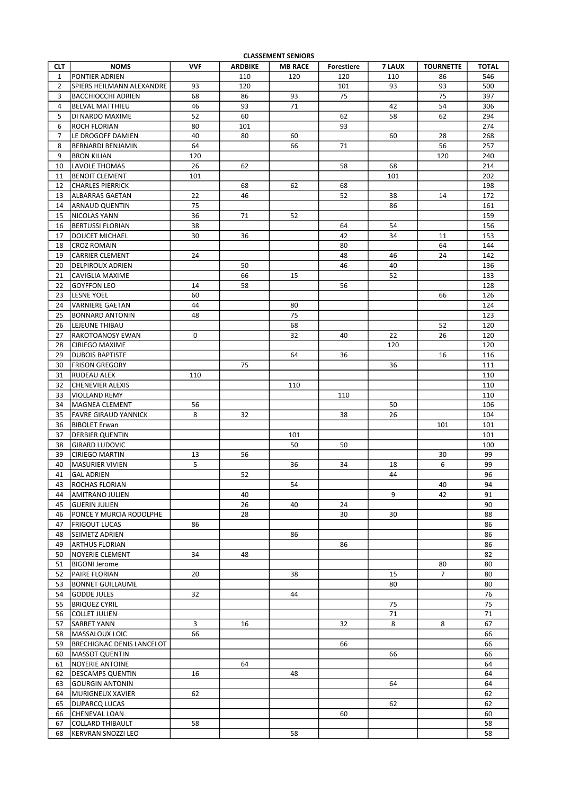| <b>CLASSEMENT SENIORS</b> |                           |            |                |                |                   |        |                  |              |  |  |  |
|---------------------------|---------------------------|------------|----------------|----------------|-------------------|--------|------------------|--------------|--|--|--|
| <b>CLT</b>                | <b>NOMS</b>               | <b>VVF</b> | <b>ARDBIKE</b> | <b>MB RACE</b> | <b>Forestiere</b> | 7 LAUX | <b>TOURNETTE</b> | <b>TOTAL</b> |  |  |  |
| $\mathbf{1}$              | <b>PONTIER ADRIEN</b>     |            | 110            | 120            | 120               | 110    | 86               | 546          |  |  |  |
|                           |                           |            |                |                |                   |        |                  |              |  |  |  |
| $\overline{2}$            | SPIERS HEILMANN ALEXANDRE | 93         | 120            |                | 101               | 93     | 93               | 500          |  |  |  |
| 3                         | <b>BACCHIOCCHI ADRIEN</b> | 68         | 86             | 93             | 75                |        | 75               | 397          |  |  |  |
| 4                         | <b>BELVAL MATTHIEU</b>    | 46         | 93             | 71             |                   | 42     | 54               | 306          |  |  |  |
| 5                         | DI NARDO MAXIME           | 52         | 60             |                | 62                | 58     | 62               | 294          |  |  |  |
| 6                         | <b>ROCH FLORIAN</b>       | 80         | 101            |                | 93                |        |                  | 274          |  |  |  |
|                           |                           |            |                |                |                   |        |                  |              |  |  |  |
| 7                         | LE DROGOFF DAMIEN         | 40         | 80             | 60             |                   | 60     | 28               | 268          |  |  |  |
| 8                         | <b>BERNARDI BENJAMIN</b>  | 64         |                | 66             | 71                |        | 56               | 257          |  |  |  |
| 9                         | BRON KILIAN               | 120        |                |                |                   |        | 120              | 240          |  |  |  |
| 10                        | lLAVOLE THOMAS            | 26         | 62             |                | 58                | 68     |                  | 214          |  |  |  |
|                           |                           |            |                |                |                   |        |                  |              |  |  |  |
| 11                        | <b>IBENOIT CLEMENT</b>    | 101        |                |                |                   | 101    |                  | 202          |  |  |  |
| 12                        | CHARLES PIERRICK          |            | 68             | 62             | 68                |        |                  | 198          |  |  |  |
| 13                        | ALBARRAS GAETAN           | 22         | 46             |                | 52                | 38     | 14               | 172          |  |  |  |
| 14                        | <b>ARNAUD QUENTIN</b>     | 75         |                |                |                   | 86     |                  | 161          |  |  |  |
|                           |                           |            |                |                |                   |        |                  |              |  |  |  |
| 15                        | NICOLAS YANN              | 36         | 71             | 52             |                   |        |                  | 159          |  |  |  |
| 16                        | <b>BERTUSSI FLORIAN</b>   | 38         |                |                | 64                | 54     |                  | 156          |  |  |  |
| 17                        | DOUCET MICHAEL            | 30         | 36             |                | 42                | 34     | 11               | 153          |  |  |  |
| 18                        | <b>CROZ ROMAIN</b>        |            |                |                | 80                |        | 64               | 144          |  |  |  |
|                           |                           |            |                |                |                   |        |                  |              |  |  |  |
| 19                        | ICARRIER CLEMENT          | 24         |                |                | 48                | 46     | 24               | 142          |  |  |  |
| 20                        | DELPIROUX ADRIEN          |            | 50             |                | 46                | 40     |                  | 136          |  |  |  |
| 21                        | CAVIGLIA MAXIME           |            | 66             | 15             |                   | 52     |                  | 133          |  |  |  |
| 22                        | <b>GOYFFON LEO</b>        | 14         | 58             |                | 56                |        |                  | 128          |  |  |  |
|                           |                           |            |                |                |                   |        |                  |              |  |  |  |
| 23                        | LESNE YOEL                | 60         |                |                |                   |        | 66               | 126          |  |  |  |
| 24                        | VARNIERE GAETAN           | 44         |                | 80             |                   |        |                  | 124          |  |  |  |
| 25                        | <b>BONNARD ANTONIN</b>    | 48         |                | 75             |                   |        |                  | 123          |  |  |  |
|                           | 26  LEJEUNE THIBAU        |            |                | 68             |                   |        | 52               | 120          |  |  |  |
|                           |                           | $\Omega$   |                | 32             | 40                | 22     | 26               |              |  |  |  |
| 27                        | <b>RAKOTOANOSY EWAN</b>   |            |                |                |                   |        |                  | 120          |  |  |  |
| 28                        | <b>CIRIEGO MAXIME</b>     |            |                |                |                   | 120    |                  | 120          |  |  |  |
| 29                        | <b>DUBOIS BAPTISTE</b>    |            |                | 64             | 36                |        | 16               | 116          |  |  |  |
| 30                        | <b>FRISON GREGORY</b>     |            | 75             |                |                   | 36     |                  | 111          |  |  |  |
| 31                        | RUDEAU ALEX               | 110        |                |                |                   |        |                  | 110          |  |  |  |
|                           |                           |            |                |                |                   |        |                  |              |  |  |  |
| 32                        | <b>CHENEVIER ALEXIS</b>   |            |                | 110            |                   |        |                  | 110          |  |  |  |
| 33                        | VIOLLAND REMY             |            |                |                | 110               |        |                  | 110          |  |  |  |
| 34                        | <b>IMAGNEA CLEMENT</b>    | 56         |                |                |                   | 50     |                  | 106          |  |  |  |
| 35                        | FAVRE GIRAUD YANNICK      | 8          | 32             |                | 38                | 26     |                  | 104          |  |  |  |
|                           |                           |            |                |                |                   |        |                  |              |  |  |  |
| 36                        | <b>BIBOLET Erwan</b>      |            |                |                |                   |        | 101              | 101          |  |  |  |
| 37                        | DERBIER QUENTIN           |            |                | 101            |                   |        |                  | 101          |  |  |  |
| 38                        | <b>GIRARD LUDOVIC</b>     |            |                | 50             | 50                |        |                  | 100          |  |  |  |
| 39                        | <b>CIRIEGO MARTIN</b>     | 13         | 56             |                |                   |        | 30               | 99           |  |  |  |
|                           |                           |            |                |                |                   |        |                  |              |  |  |  |
| 40                        | <b>MASURIER VIVIEN</b>    | 5          |                | 36             | 34                | 18     | 6                | 99           |  |  |  |
| 41                        | <b>GAL ADRIEN</b>         |            | 52             |                |                   | 44     |                  | 96           |  |  |  |
| 43                        | <b>ROCHAS FLORIAN</b>     |            |                | 54             |                   |        | 40               | 94           |  |  |  |
| 44                        | <b>AMITRANO JULIEN</b>    |            | 40             |                |                   | 9      | 42               | 91           |  |  |  |
|                           |                           |            |                |                |                   |        |                  |              |  |  |  |
| 45                        | <b>GUERIN JULIEN</b>      |            | 26             | 40             | 24                |        |                  | 90           |  |  |  |
| 46                        | PONCE Y MURCIA RODOLPHE   |            | 28             |                | 30                | 30     |                  | 88           |  |  |  |
| 47                        | <b>FRIGOUT LUCAS</b>      | 86         |                |                |                   |        |                  | 86           |  |  |  |
| 48                        | <b>SEIMETZ ADRIEN</b>     |            |                | 86             |                   |        |                  | 86           |  |  |  |
| 49                        |                           |            |                |                | 86                |        |                  | 86           |  |  |  |
|                           | <b>ARTHUS FLORIAN</b>     |            |                |                |                   |        |                  |              |  |  |  |
| 50                        | <b>NOYERIE CLEMENT</b>    | 34         | 48             |                |                   |        |                  | 82           |  |  |  |
| 51                        | BIGONI Jerome             |            |                |                |                   |        | 80               | 80           |  |  |  |
| 52                        | <b>PAIRE FLORIAN</b>      | 20         |                | 38             |                   | 15     | 7                | 80           |  |  |  |
| 53                        | <b>BONNET GUILLAUME</b>   |            |                |                |                   | 80     |                  | 80           |  |  |  |
|                           |                           |            |                |                |                   |        |                  |              |  |  |  |
| 54                        | GODDE JULES               | 32         |                | 44             |                   |        |                  | 76           |  |  |  |
| 55                        | <b>BRIQUEZ CYRIL</b>      |            |                |                |                   | 75     |                  | 75           |  |  |  |
| 56                        | <b>COLLET JULIEN</b>      |            |                |                |                   | 71     |                  | 71           |  |  |  |
| 57                        | <b>SARRET YANN</b>        | 3          | 16             |                | 32                | 8      | 8                | 67           |  |  |  |
|                           |                           |            |                |                |                   |        |                  |              |  |  |  |
| 58                        | <b>MASSALOUX LOIC</b>     | 66         |                |                |                   |        |                  | 66           |  |  |  |
| 59                        | BRECHIGNAC DENIS LANCELOT |            |                |                | 66                |        |                  | 66           |  |  |  |
| 60                        | <b>MASSOT QUENTIN</b>     |            |                |                |                   | 66     |                  | 66           |  |  |  |
| 61                        | <b>INOYERIE ANTOINE</b>   |            | 64             |                |                   |        |                  | 64           |  |  |  |
|                           |                           |            |                |                |                   |        |                  |              |  |  |  |
| 62                        | <b>DESCAMPS QUENTIN</b>   | 16         |                | 48             |                   |        |                  | 64           |  |  |  |
| 63                        | <b>GOURGIN ANTONIN</b>    |            |                |                |                   | 64     |                  | 64           |  |  |  |
| 64                        | <b>MURIGNEUX XAVIER</b>   | 62         |                |                |                   |        |                  | 62           |  |  |  |
| 65                        | <b>JDUPARCQ LUCAS</b>     |            |                |                |                   | 62     |                  | 62           |  |  |  |
|                           |                           |            |                |                |                   |        |                  |              |  |  |  |
| 66                        | CHENEVAL LOAN             |            |                |                | 60                |        |                  | 60           |  |  |  |
| 67                        | COLLARD THIBAULT          | 58         |                |                |                   |        |                  | 58           |  |  |  |
| 68                        | KERVRAN SNOZZI LEO        |            |                | 58             |                   |        |                  | 58           |  |  |  |